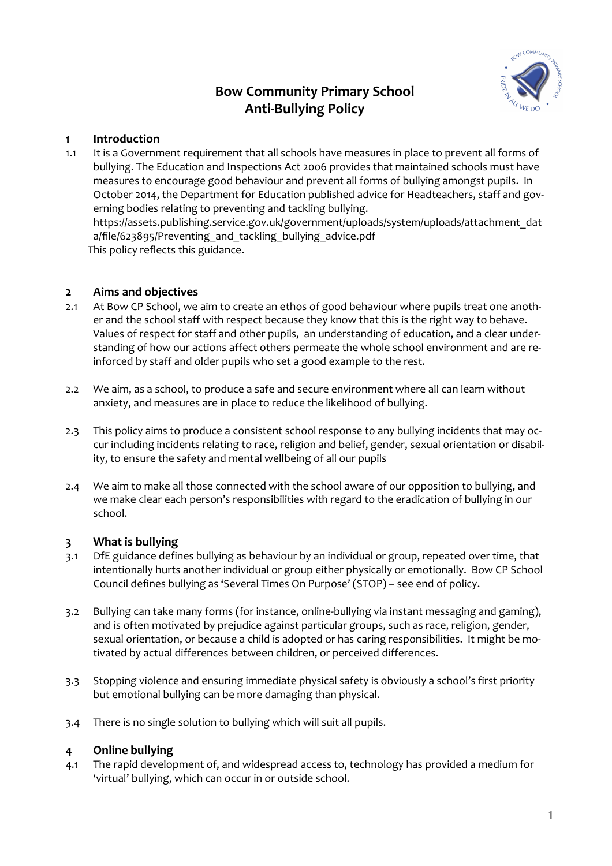#### **Bow Community Primary School Anti-Bullying Policy**



#### **1 Introduction**

1.1 It is a Government requirement that all schools have measures in place to prevent all forms of bullying. The Education and Inspections Act 2006 provides that maintained schools must have measures to encourage good behaviour and prevent all forms of bullying amongst pupils. In October 2014, the Department for Education published advice for Headteachers, staff and governing bodies relating to preventing and tackling bullying. https://assets.publishing.service.gov.uk/government/uploads/system/uploads/attachment\_dat a/file/623895/Preventing and tackling bullying advice.pdf This policy reflects this guidance.

#### **2 Aims and objectives**

- 2.1 At Bow CP School, we aim to create an ethos of good behaviour where pupils treat one another and the school staff with respect because they know that this is the right way to behave. Values of respect for staff and other pupils, an understanding of education, and a clear understanding of how our actions affect others permeate the whole school environment and are reinforced by staff and older pupils who set a good example to the rest.
- 2.2 We aim, as a school, to produce a safe and secure environment where all can learn without anxiety, and measures are in place to reduce the likelihood of bullying.
- 2.3 This policy aims to produce a consistent school response to any bullying incidents that may occur including incidents relating to race, religion and belief, gender, sexual orientation or disability, to ensure the safety and mental wellbeing of all our pupils
- 2.4 We aim to make all those connected with the school aware of our opposition to bullying, and we make clear each person's responsibilities with regard to the eradication of bullying in our school.

#### **3 What is bullying**

- 3.1 DfE guidance defines bullying as behaviour by an individual or group, repeated over time, that intentionally hurts another individual or group either physically or emotionally. Bow CP School Council defines bullying as 'Several Times On Purpose' (STOP) – see end of policy.
- 3.2 Bullying can take many forms (for instance, online-bullying via instant messaging and gaming), and is often motivated by prejudice against particular groups, such as race, religion, gender, sexual orientation, or because a child is adopted or has caring responsibilities. It might be motivated by actual differences between children, or perceived differences.
- 3.3 Stopping violence and ensuring immediate physical safety is obviously a school's first priority but emotional bullying can be more damaging than physical.
- 3.4 There is no single solution to bullying which will suit all pupils.

#### **4 Online bullying**

4.1 The rapid development of, and widespread access to, technology has provided a medium for 'virtual' bullying, which can occur in or outside school.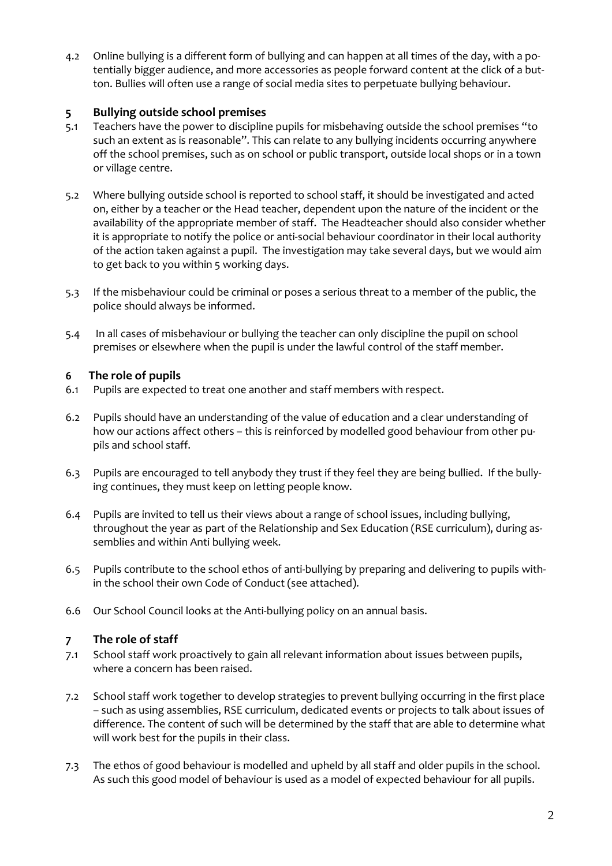4.2 Online bullying is a different form of bullying and can happen at all times of the day, with a potentially bigger audience, and more accessories as people forward content at the click of a button. Bullies will often use a range of social media sites to perpetuate bullying behaviour.

#### **5 Bullying outside school premises**

- 5.1 Teachers have the power to discipline pupils for misbehaving outside the school premises "to such an extent as is reasonable". This can relate to any bullying incidents occurring anywhere off the school premises, such as on school or public transport, outside local shops or in a town or village centre.
- 5.2 Where bullying outside school is reported to school staff, it should be investigated and acted on, either by a teacher or the Head teacher, dependent upon the nature of the incident or the availability of the appropriate member of staff. The Headteacher should also consider whether it is appropriate to notify the police or anti-social behaviour coordinator in their local authority of the action taken against a pupil. The investigation may take several days, but we would aim to get back to you within 5 working days.
- 5.3 If the misbehaviour could be criminal or poses a serious threat to a member of the public, the police should always be informed.
- 5.4 In all cases of misbehaviour or bullying the teacher can only discipline the pupil on school premises or elsewhere when the pupil is under the lawful control of the staff member.

#### **6 The role of pupils**

- 6.1 Pupils are expected to treat one another and staff members with respect.
- 6.2 Pupils should have an understanding of the value of education and a clear understanding of how our actions affect others – this is reinforced by modelled good behaviour from other pupils and school staff.
- 6.3 Pupils are encouraged to tell anybody they trust if they feel they are being bullied. If the bullying continues, they must keep on letting people know.
- 6.4 Pupils are invited to tell us their views about a range of school issues, including bullying, throughout the year as part of the Relationship and Sex Education (RSE curriculum), during assemblies and within Anti bullying week.
- 6.5 Pupils contribute to the school ethos of anti-bullying by preparing and delivering to pupils within the school their own Code of Conduct (see attached).
- 6.6 Our School Council looks at the Anti-bullying policy on an annual basis.

#### **7 The role of staff**

- 7.1 School staff work proactively to gain all relevant information about issues between pupils, where a concern has been raised.
- 7.2 School staff work together to develop strategies to prevent bullying occurring in the first place – such as using assemblies, RSE curriculum, dedicated events or projects to talk about issues of difference. The content of such will be determined by the staff that are able to determine what will work best for the pupils in their class.
- 7.3 The ethos of good behaviour is modelled and upheld by all staff and older pupils in the school. As such this good model of behaviour is used as a model of expected behaviour for all pupils.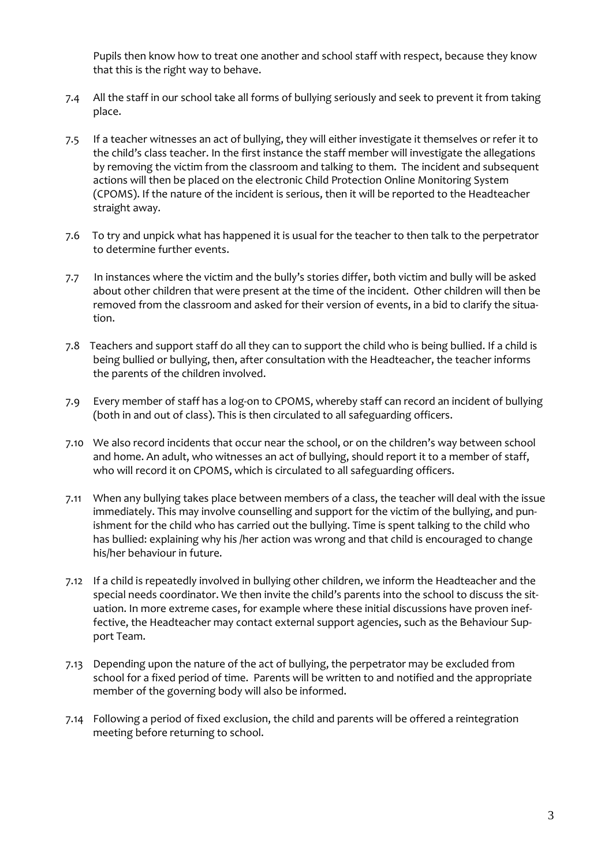Pupils then know how to treat one another and school staff with respect, because they know that this is the right way to behave.

- 7.4 All the staff in our school take all forms of bullying seriously and seek to prevent it from taking place.
- 7.5 If a teacher witnesses an act of bullying, they will either investigate it themselves or refer it to the child's class teacher. In the first instance the staff member will investigate the allegations by removing the victim from the classroom and talking to them. The incident and subsequent actions will then be placed on the electronic Child Protection Online Monitoring System (CPOMS). If the nature of the incident is serious, then it will be reported to the Headteacher straight away.
- 7.6 To try and unpick what has happened it is usual for the teacher to then talk to the perpetrator to determine further events.
- 7.7 In instances where the victim and the bully's stories differ, both victim and bully will be asked about other children that were present at the time of the incident. Other children will then be removed from the classroom and asked for their version of events, in a bid to clarify the situation.
- 7.8 Teachers and support staff do all they can to support the child who is being bullied. If a child is being bullied or bullying, then, after consultation with the Headteacher, the teacher informs the parents of the children involved.
- 7.9 Every member of staff has a log-on to CPOMS, whereby staff can record an incident of bullying (both in and out of class). This is then circulated to all safeguarding officers.
- 7.10 We also record incidents that occur near the school, or on the children's way between school and home. An adult, who witnesses an act of bullying, should report it to a member of staff, who will record it on CPOMS, which is circulated to all safeguarding officers.
- 7.11 When any bullying takes place between members of a class, the teacher will deal with the issue immediately. This may involve counselling and support for the victim of the bullying, and punishment for the child who has carried out the bullying. Time is spent talking to the child who has bullied: explaining why his /her action was wrong and that child is encouraged to change his/her behaviour in future.
- 7.12 If a child is repeatedly involved in bullying other children, we inform the Headteacher and the special needs coordinator. We then invite the child's parents into the school to discuss the situation. In more extreme cases, for example where these initial discussions have proven ineffective, the Headteacher may contact external support agencies, such as the Behaviour Support Team.
- 7.13 Depending upon the nature of the act of bullying, the perpetrator may be excluded from school for a fixed period of time. Parents will be written to and notified and the appropriate member of the governing body will also be informed.
- 7.14 Following a period of fixed exclusion, the child and parents will be offered a reintegration meeting before returning to school.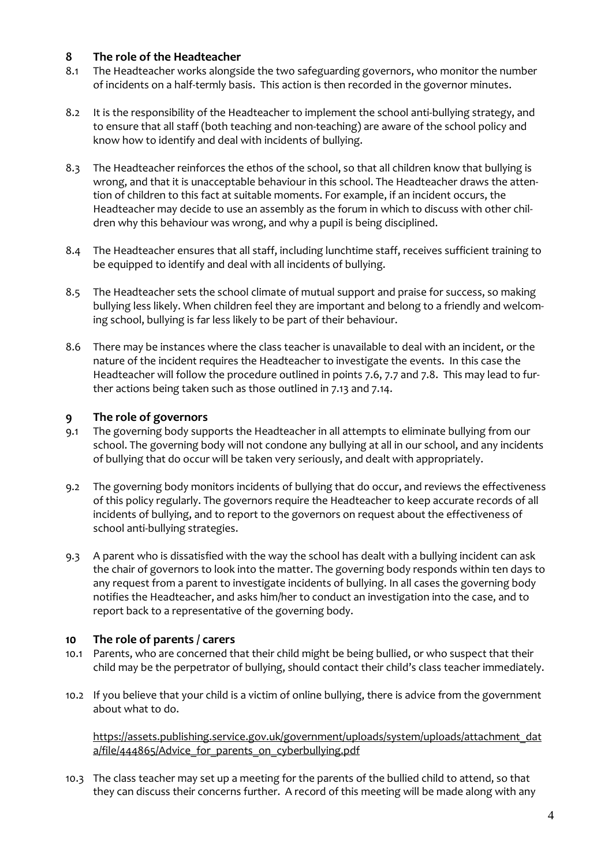#### **8 The role of the Headteacher**

- 8.1 The Headteacher works alongside the two safeguarding governors, who monitor the number of incidents on a half-termly basis. This action is then recorded in the governor minutes.
- 8.2 It is the responsibility of the Headteacher to implement the school anti-bullying strategy, and to ensure that all staff (both teaching and non-teaching) are aware of the school policy and know how to identify and deal with incidents of bullying.
- 8.3 The Headteacher reinforces the ethos of the school, so that all children know that bullying is wrong, and that it is unacceptable behaviour in this school. The Headteacher draws the attention of children to this fact at suitable moments. For example, if an incident occurs, the Headteacher may decide to use an assembly as the forum in which to discuss with other children why this behaviour was wrong, and why a pupil is being disciplined.
- 8.4 The Headteacher ensures that all staff, including lunchtime staff, receives sufficient training to be equipped to identify and deal with all incidents of bullying.
- 8.5 The Headteacher sets the school climate of mutual support and praise for success, so making bullying less likely. When children feel they are important and belong to a friendly and welcoming school, bullying is far less likely to be part of their behaviour.
- 8.6 There may be instances where the class teacher is unavailable to deal with an incident, or the nature of the incident requires the Headteacher to investigate the events. In this case the Headteacher will follow the procedure outlined in points 7.6, 7.7 and 7.8. This may lead to further actions being taken such as those outlined in 7.13 and 7.14.

#### **9 The role of governors**

- 9.1 The governing body supports the Headteacher in all attempts to eliminate bullying from our school. The governing body will not condone any bullying at all in our school, and any incidents of bullying that do occur will be taken very seriously, and dealt with appropriately.
- 9.2 The governing body monitors incidents of bullying that do occur, and reviews the effectiveness of this policy regularly. The governors require the Headteacher to keep accurate records of all incidents of bullying, and to report to the governors on request about the effectiveness of school anti-bullying strategies.
- 9.3 A parent who is dissatisfied with the way the school has dealt with a bullying incident can ask the chair of governors to look into the matter. The governing body responds within ten days to any request from a parent to investigate incidents of bullying. In all cases the governing body notifies the Headteacher, and asks him/her to conduct an investigation into the case, and to report back to a representative of the governing body.

#### **10 The role of parents / carers**

- 10.1 Parents, who are concerned that their child might be being bullied, or who suspect that their child may be the perpetrator of bullying, should contact their child's class teacher immediately.
- 10.2 If you believe that your child is a victim of online bullying, there is advice from the government about what to do.

https://assets.publishing.service.gov.uk/government/uploads/system/uploads/attachment\_dat a/file/444865/Advice\_for\_parents\_on\_cyberbullying.pdf

10.3 The class teacher may set up a meeting for the parents of the bullied child to attend, so that they can discuss their concerns further. A record of this meeting will be made along with any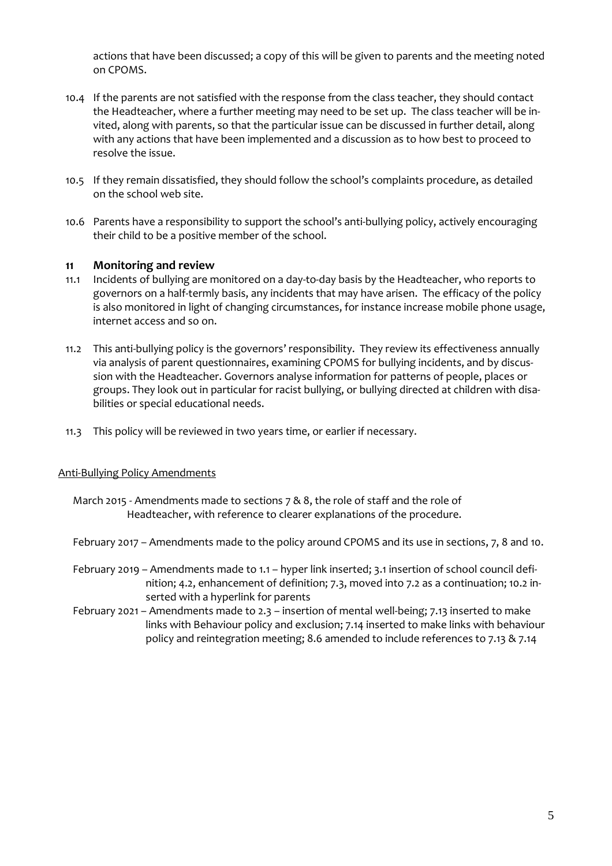actions that have been discussed; a copy of this will be given to parents and the meeting noted on CPOMS.

- 10.4 If the parents are not satisfied with the response from the class teacher, they should contact the Headteacher, where a further meeting may need to be set up. The class teacher will be invited, along with parents, so that the particular issue can be discussed in further detail, along with any actions that have been implemented and a discussion as to how best to proceed to resolve the issue.
- 10.5 If they remain dissatisfied, they should follow the school's complaints procedure, as detailed on the school web site.
- 10.6 Parents have a responsibility to support the school's anti-bullying policy, actively encouraging their child to be a positive member of the school.

#### **11 Monitoring and review**

- 11.1 Incidents of bullying are monitored on a day-to-day basis by the Headteacher, who reports to governors on a half-termly basis, any incidents that may have arisen. The efficacy of the policy is also monitored in light of changing circumstances, for instance increase mobile phone usage, internet access and so on.
- 11.2 This anti-bullying policy is the governors' responsibility. They review its effectiveness annually via analysis of parent questionnaires, examining CPOMS for bullying incidents, and by discussion with the Headteacher. Governors analyse information for patterns of people, places or groups. They look out in particular for racist bullying, or bullying directed at children with disabilities or special educational needs.
- 11.3 This policy will be reviewed in two years time, or earlier if necessary.

#### Anti-Bullying Policy Amendments

- March 2015 Amendments made to sections 7 & 8, the role of staff and the role of Headteacher, with reference to clearer explanations of the procedure.
- February 2017 Amendments made to the policy around CPOMS and its use in sections, 7, 8 and 10.
- February 2019 Amendments made to 1.1 hyper link inserted; 3.1 insertion of school council definition; 4.2, enhancement of definition; 7.3, moved into 7.2 as a continuation; 10.2 inserted with a hyperlink for parents
- February 2021 Amendments made to 2.3 insertion of mental well-being; 7.13 inserted to make links with Behaviour policy and exclusion; 7.14 inserted to make links with behaviour policy and reintegration meeting; 8.6 amended to include references to 7.13 & 7.14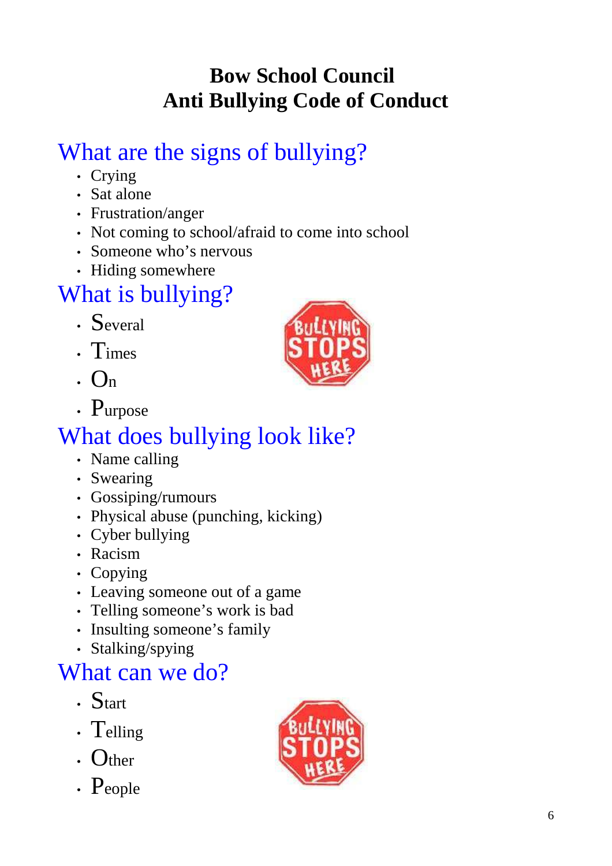## **Bow School Council Anti Bullying Code of Conduct**

# What are the signs of bullying?

- Crying
- Sat alone
- Frustration/anger
- Not coming to school/afraid to come into school
- Someone who's nervous
- Hiding somewhere

# What is bullying?

- Several
- Times
- $\cdot$  On
- Purpose

## What does bullying look like?

- Name calling
- Swearing
- Gossiping/rumours
- Physical abuse (punching, kicking)
- Cyber bullying
- Racism
- Copying
- Leaving someone out of a game
- Telling someone's work is bad
- Insulting someone's family
- Stalking/spying

## What can we do?

- Start
- Telling
- Other
- People